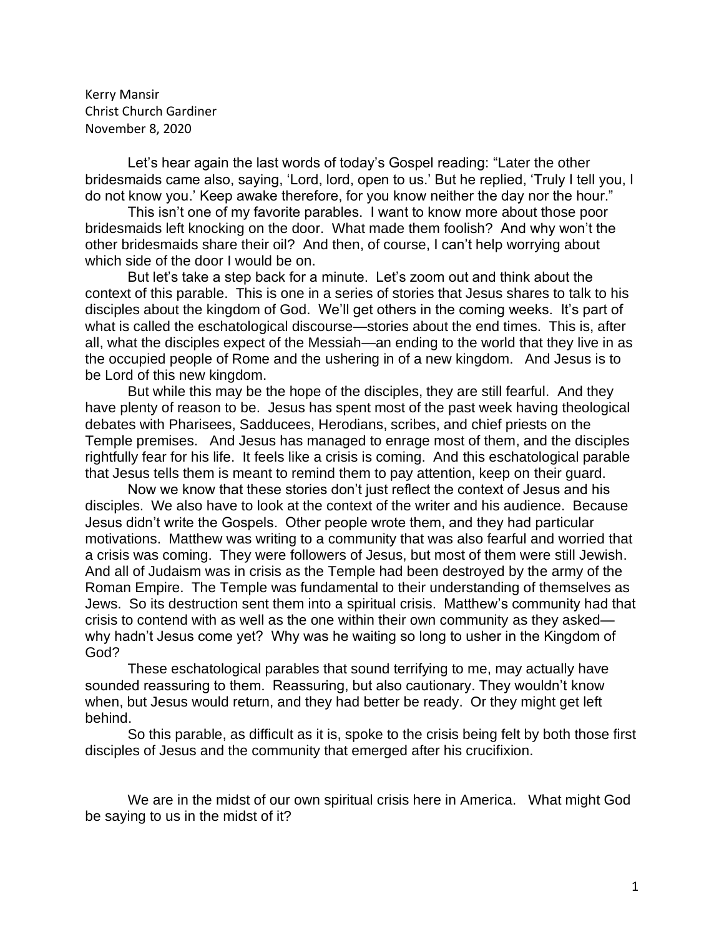Kerry Mansir Christ Church Gardiner November 8, 2020

Let's hear again the last words of today's Gospel reading: "Later the other bridesmaids came also, saying, 'Lord, lord, open to us.' But he replied, 'Truly I tell you, I do not know you.' Keep awake therefore, for you know neither the day nor the hour."

This isn't one of my favorite parables. I want to know more about those poor bridesmaids left knocking on the door. What made them foolish? And why won't the other bridesmaids share their oil? And then, of course, I can't help worrying about which side of the door I would be on.

But let's take a step back for a minute. Let's zoom out and think about the context of this parable. This is one in a series of stories that Jesus shares to talk to his disciples about the kingdom of God. We'll get others in the coming weeks. It's part of what is called the eschatological discourse—stories about the end times. This is, after all, what the disciples expect of the Messiah—an ending to the world that they live in as the occupied people of Rome and the ushering in of a new kingdom. And Jesus is to be Lord of this new kingdom.

But while this may be the hope of the disciples, they are still fearful. And they have plenty of reason to be. Jesus has spent most of the past week having theological debates with Pharisees, Sadducees, Herodians, scribes, and chief priests on the Temple premises. And Jesus has managed to enrage most of them, and the disciples rightfully fear for his life. It feels like a crisis is coming. And this eschatological parable that Jesus tells them is meant to remind them to pay attention, keep on their guard.

Now we know that these stories don't just reflect the context of Jesus and his disciples. We also have to look at the context of the writer and his audience. Because Jesus didn't write the Gospels. Other people wrote them, and they had particular motivations. Matthew was writing to a community that was also fearful and worried that a crisis was coming. They were followers of Jesus, but most of them were still Jewish. And all of Judaism was in crisis as the Temple had been destroyed by the army of the Roman Empire. The Temple was fundamental to their understanding of themselves as Jews. So its destruction sent them into a spiritual crisis. Matthew's community had that crisis to contend with as well as the one within their own community as they asked why hadn't Jesus come yet? Why was he waiting so long to usher in the Kingdom of God?

These eschatological parables that sound terrifying to me, may actually have sounded reassuring to them. Reassuring, but also cautionary. They wouldn't know when, but Jesus would return, and they had better be ready. Or they might get left behind.

So this parable, as difficult as it is, spoke to the crisis being felt by both those first disciples of Jesus and the community that emerged after his crucifixion.

We are in the midst of our own spiritual crisis here in America. What might God be saying to us in the midst of it?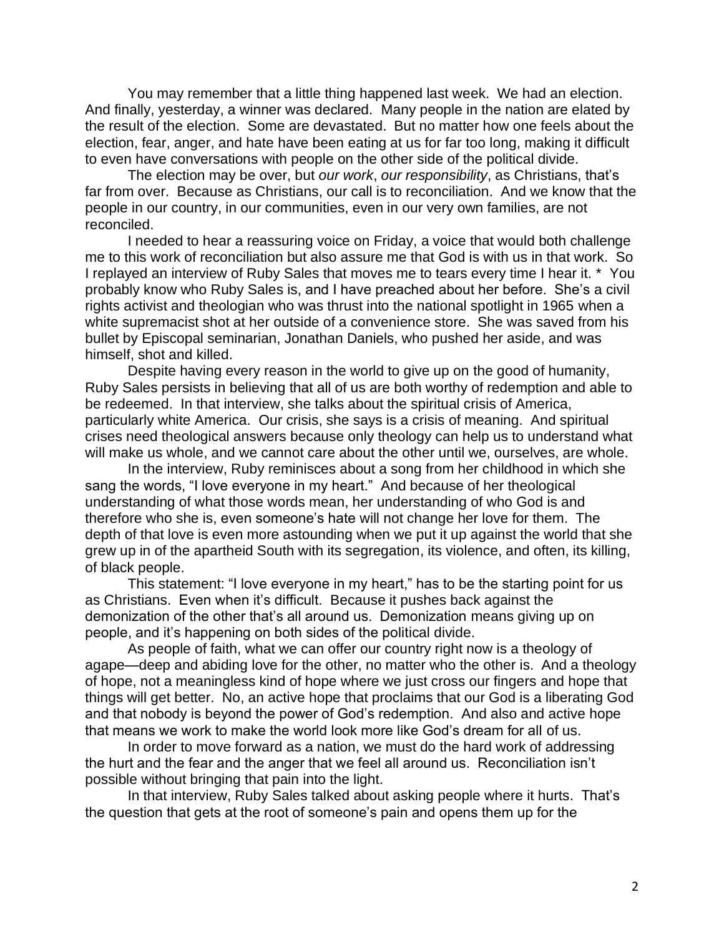You may remember that a little thing happened last week. We had an election. And finally, yesterday, a winner was declared. Many people in the nation are elated by the result of the election. Some are devastated. But no matter how one feels about the election, fear, anger, and hate have been eating at us for far too long, making it difficult to even have conversations with people on the other side of the political divide.

The election may be over, but *our work*, *our responsibility*, as Christians, that's far from over. Because as Christians, our call is to reconciliation. And we know that the people in our country, in our communities, even in our very own families, are not reconciled.

I needed to hear a reassuring voice on Friday, a voice that would both challenge me to this work of reconciliation but also assure me that God is with us in that work. So I replayed an interview of Ruby Sales that moves me to tears every time I hear it. \* You probably know who Ruby Sales is, and I have preached about her before. She's a civil rights activist and theologian who was thrust into the national spotlight in 1965 when a white supremacist shot at her outside of a convenience store. She was saved from his bullet by Episcopal seminarian, Jonathan Daniels, who pushed her aside, and was himself, shot and killed.

Despite having every reason in the world to give up on the good of humanity, Ruby Sales persists in believing that all of us are both worthy of redemption and able to be redeemed. In that interview, she talks about the spiritual crisis of America, particularly white America. Our crisis, she says is a crisis of meaning. And spiritual crises need theological answers because only theology can help us to understand what will make us whole, and we cannot care about the other until we, ourselves, are whole.

In the interview, Ruby reminisces about a song from her childhood in which she sang the words, "I love everyone in my heart." And because of her theological understanding of what those words mean, her understanding of who God is and therefore who she is, even someone's hate will not change her love for them. The depth of that love is even more astounding when we put it up against the world that she grew up in of the apartheid South with its segregation, its violence, and often, its killing, of black people.

This statement: "I love everyone in my heart," has to be the starting point for us as Christians. Even when it's difficult. Because it pushes back against the demonization of the other that's all around us. Demonization means giving up on people, and it's happening on both sides of the political divide.

As people of faith, what we can offer our country right now is a theology of agape—deep and abiding love for the other, no matter who the other is. And a theology of hope, not a meaningless kind of hope where we just cross our fingers and hope that things will get better. No, an active hope that proclaims that our God is a liberating God and that nobody is beyond the power of God's redemption. And also and active hope that means we work to make the world look more like God's dream for all of us.

In order to move forward as a nation, we must do the hard work of addressing the hurt and the fear and the anger that we feel all around us. Reconciliation isn't possible without bringing that pain into the light.

In that interview, Ruby Sales talked about asking people where it hurts. That's the question that gets at the root of someone's pain and opens them up for the